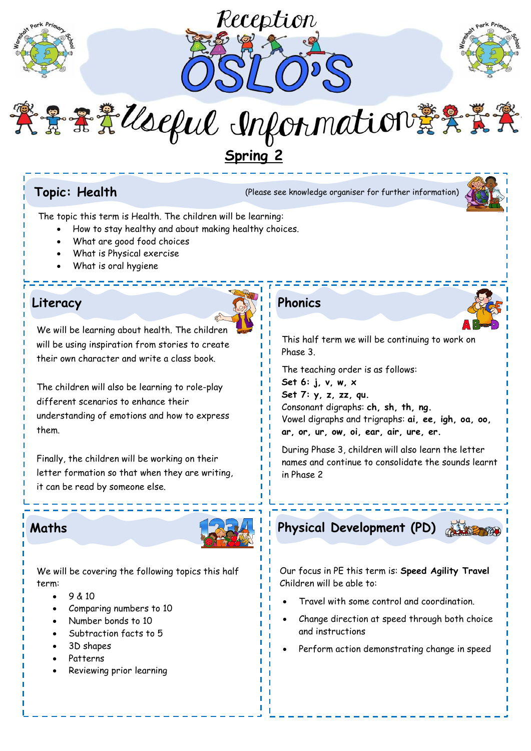





# 紫景景义(seful Information 葉朵素子 **Spring 2**

**Topic: Health** (Please see knowledge organiser for further information)



The topic this term is Health. The children will be learning:

- How to stay healthy and about making healthy choices.
- What are good food choices
- What is Physical exercise
- What is oral hygiene

### **Literacy Phonics**

We will be learning about health. The children will be using inspiration from stories to create their own character and write a class book.

The children will also be learning to role-play different scenarios to enhance their understanding of emotions and how to express them.

Finally, the children will be working on their letter formation so that when they are writing, it can be read by someone else.



We will be covering the following topics this half term:

- $-9 & 10$
- Comparing numbers to 10
- Number bonds to 10
- Subtraction facts to 5
- 3D shapes
- Patterns
- Reviewing prior learning

This half term we will be continuing to work on Phase 3.

The teaching order is as follows: **Set 6: j, v, w, x Set 7: y, z, zz, qu.** Consonant digraphs: **ch, sh, th, ng.** Vowel digraphs and trigraphs: **ai, ee, igh, oa, oo, ar, or, ur, ow, oi, ear, air, ure, er.**

During Phase 3, children will also learn the letter names and continue to consolidate the sounds learnt in Phase 2



Our focus in PE this term is: **Speed Agility Travel** Children will be able to:

- Travel with some control and coordination.
- Change direction at speed through both choice and instructions
- Perform action demonstrating change in speed